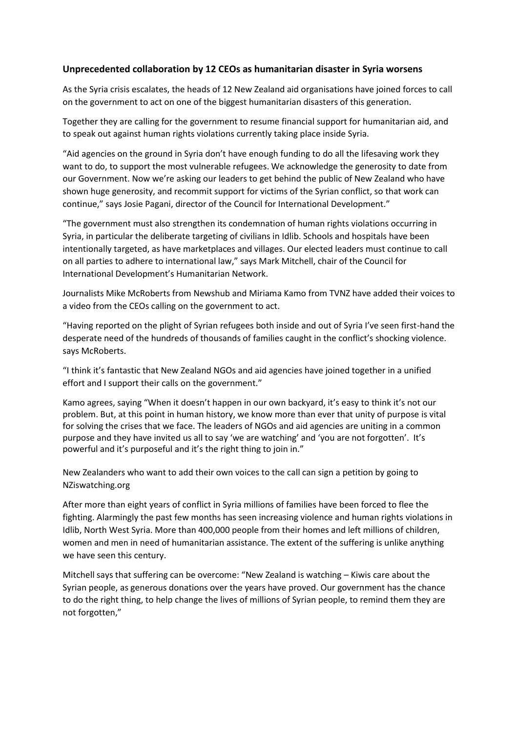## **Unprecedented collaboration by 12 CEOs as humanitarian disaster in Syria worsens**

As the Syria crisis escalates, the heads of 12 New Zealand aid organisations have joined forces to call on the government to act on one of the biggest humanitarian disasters of this generation.

Together they are calling for the government to resume financial support for humanitarian aid, and to speak out against human rights violations currently taking place inside Syria.

"Aid agencies on the ground in Syria don't have enough funding to do all the lifesaving work they want to do, to support the most vulnerable refugees. We acknowledge the generosity to date from our Government. Now we're asking our leaders to get behind the public of New Zealand who have shown huge generosity, and recommit support for victims of the Syrian conflict, so that work can continue," says Josie Pagani, director of the Council for International Development."

"The government must also strengthen its condemnation of human rights violations occurring in Syria, in particular the deliberate targeting of civilians in Idlib. Schools and hospitals have been intentionally targeted, as have marketplaces and villages. Our elected leaders must continue to call on all parties to adhere to international law," says Mark Mitchell, chair of the Council for International Development's Humanitarian Network.

Journalists Mike McRoberts from Newshub and Miriama Kamo from TVNZ have added their voices to a video from the CEOs calling on the government to act.

"Having reported on the plight of Syrian refugees both inside and out of Syria I've seen first-hand the desperate need of the hundreds of thousands of families caught in the conflict's shocking violence. says McRoberts.

"I think it's fantastic that New Zealand NGOs and aid agencies have joined together in a unified effort and I support their calls on the government."

Kamo agrees, saying "When it doesn't happen in our own backyard, it's easy to think it's not our problem. But, at this point in human history, we know more than ever that unity of purpose is vital for solving the crises that we face. The leaders of NGOs and aid agencies are uniting in a common purpose and they have invited us all to say 'we are watching' and 'you are not forgotten'. It's powerful and it's purposeful and it's the right thing to join in."

New Zealanders who want to add their own voices to the call can sign a petition by going to NZiswatching.org

After more than eight years of conflict in Syria millions of families have been forced to flee the fighting. Alarmingly the past few months has seen increasing violence and human rights violations in Idlib, North West Syria. More than 400,000 people from their homes and left millions of children, women and men in need of humanitarian assistance. The extent of the suffering is unlike anything we have seen this century.

Mitchell says that suffering can be overcome: "New Zealand is watching – Kiwis care about the Syrian people, as generous donations over the years have proved. Our government has the chance to do the right thing, to help change the lives of millions of Syrian people, to remind them they are not forgotten,"